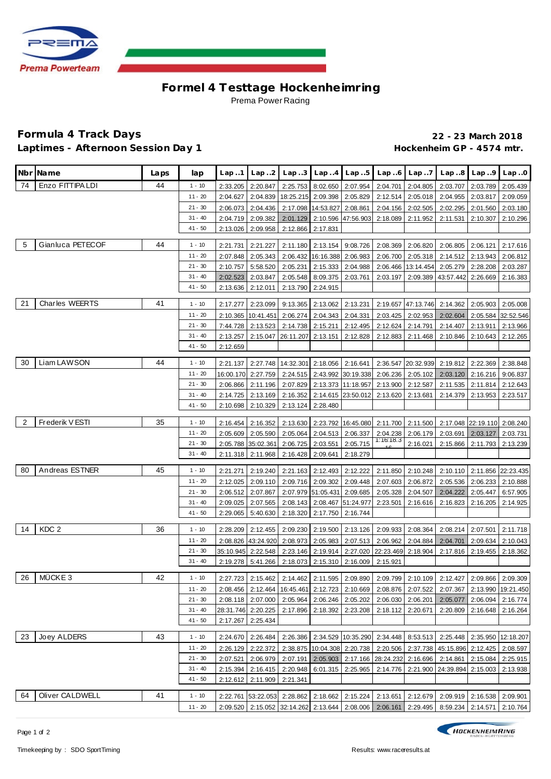

## **Formel 4 Testtage Hockenhe imring** Prema Power Racing

## **Formula 4 Track Days 22 - 23 March 2018** Laptimes - Afternoon Session Day 1 **Acceleration Control of the UL**aptimes - 4574 mtr.

|                | Nbr Name              | Laps | lap       | Lap1                 | Lap.2                         | Lap.3                |                                               | $Lap. .4$ $Lap. .5$                  | Lap.6                | Lap7                 | Lap.8                                                                                                                                                                | Lap.9                       | Lap.0                                                                                     |
|----------------|-----------------------|------|-----------|----------------------|-------------------------------|----------------------|-----------------------------------------------|--------------------------------------|----------------------|----------------------|----------------------------------------------------------------------------------------------------------------------------------------------------------------------|-----------------------------|-------------------------------------------------------------------------------------------|
| 74             | Enzo FITTIPA LDI      | 44   | $1 - 10$  | 2:33.205             | 2:20.847                      | 2:25.753             | 8:02.650                                      | 2:07.954                             | 2:04.701             | 2:04.805             | 2:03.707                                                                                                                                                             | 2:03.789                    | 2:05.439                                                                                  |
|                |                       |      | $11 - 20$ | 2:04.627             | 2:04.839                      | 18:25.215            | 2:09.398                                      | 2:05.829                             | 2:12.514             | 2:05.018             | 2:04.955                                                                                                                                                             | 2:03.817                    | 2:09.059                                                                                  |
|                |                       |      | $21 - 30$ | 2:06.073             | 2:04.436                      | 2:17.098             | 14:53.827                                     | 2:08.861                             | 2:04.156             | 2:02.505             | 2:02.295                                                                                                                                                             | 2:01.560                    | 2:03.180                                                                                  |
|                |                       |      | $31 - 40$ | 2:04.719             | 2:09.382                      | 2:01.129             |                                               | 2:10.596 47:56.903                   | 2:18.089             | 2:11.952             | 2:11.531                                                                                                                                                             | 2:10.307                    | 2:10.296                                                                                  |
|                |                       |      | $41 - 50$ | 2:13.026             | 2:09.958                      | 2:12.866             | 2:17.831                                      |                                      |                      |                      |                                                                                                                                                                      |                             |                                                                                           |
| 5              | Gianluca PETECOF      | 44   | $1 - 10$  | 2:21.731             | 2:21.227                      |                      | 2:11.180 2:13.154 9:08.726                    |                                      | 2:08.369 2:06.820    |                      |                                                                                                                                                                      | 2:06.805 2:06.121 2:17.616  |                                                                                           |
|                |                       |      | $11 - 20$ | 2:07.848             | 2:05.343                      | 2:06.432             | 16:16.388 2:06.983                            |                                      |                      | 2:06.700 2:05.318    |                                                                                                                                                                      | 2:14.512 2:13.943           | 2:06.812                                                                                  |
|                |                       |      | $21 - 30$ | 2:10.757             | 5:58.520                      | 2:05.231             | 2:15.333                                      | 2:04.988                             |                      | 2:06.466 13:14.454   | 2:05.279                                                                                                                                                             | 2:28.208                    | 2:03.287                                                                                  |
|                |                       |      | $31 - 40$ | 2:02.523             | 2:03.847                      | 2:05.548             | 8:09.375                                      | 2:03.761                             | 2:03.197             | 2:09.389             | 43:57.442                                                                                                                                                            | 2:26.669                    | 2:16.383                                                                                  |
|                |                       |      | $41 - 50$ | 2:13.636             | 2:12.011                      | 2:13.790             | 2:24.915                                      |                                      |                      |                      |                                                                                                                                                                      |                             |                                                                                           |
| 21             | <b>Charles WEERTS</b> | 41   | $1 - 10$  |                      |                               |                      |                                               | 2:13.231                             |                      |                      |                                                                                                                                                                      |                             |                                                                                           |
|                |                       |      | $11 - 20$ | 2:17.277             | 2:23.099                      | 9:13.365             | 2:13.062                                      |                                      |                      |                      | 2:19.657 47:13.746 2:14.362                                                                                                                                          | 2:05.903                    | 2:05.008                                                                                  |
|                |                       |      | $21 - 30$ | 2:10.365<br>7:44.728 | 10:41.451<br>2:13.523         | 2:06.274<br>2:14.738 | 2:04.343<br>2:15.211                          | 2:04.331<br>2:12.495                 | 2:03.425<br>2:12.624 | 2:02.953<br>2:14.791 | 2:02.604<br>2:14.407                                                                                                                                                 | 2:05.584<br>2:13.911        | 32:52.546<br>2:13.966                                                                     |
|                |                       |      | $31 - 40$ | 2:13.257             | 2:15.047                      | 26:11.207            | 2:13.151                                      | 2:12.828                             | 2:12.883             | 2:11.468             | 2:10.846                                                                                                                                                             | 2:10.643                    | 2:12.265                                                                                  |
|                |                       |      | $41 - 50$ | 2:12.659             |                               |                      |                                               |                                      |                      |                      |                                                                                                                                                                      |                             |                                                                                           |
|                |                       |      |           |                      |                               |                      |                                               |                                      |                      |                      |                                                                                                                                                                      |                             |                                                                                           |
| 30             | Liam LAWSON           | 44   | $1 - 10$  | 2:21.137             | 2:27.748                      | 14:32.301            | 2:18.056                                      | 2:16.641                             |                      | 2:36.547 20:32.939   | 2:19.812                                                                                                                                                             | 2:22.369                    | 2:38.848                                                                                  |
|                |                       |      | $11 - 20$ |                      | 16:00.170 2:27.759            | 2:24.515             |                                               | 2:43.992 30:19.338                   | 2:06.236             | 2:05.102             | 2:03.120                                                                                                                                                             | 2:16.216                    | 9:06.837                                                                                  |
|                |                       |      | $21 - 30$ | 2:06.866             | 2:11.196                      | 2:07.829             |                                               | 2:13.373 11:18.957                   | 2:13.900             | 2:12.587             | 2:11.535                                                                                                                                                             | 2:11.814                    | 2:12.643                                                                                  |
|                |                       |      | $31 - 40$ | 2:14.725             | 2:13.169                      | 2:16.352             |                                               | 2:14.615 23:50.012                   | 2:13.620             | 2:13.681             | 2:14.379                                                                                                                                                             | 2:13.953                    | 2:23.517                                                                                  |
|                |                       |      | $41 - 50$ | 2:10.698             | 2:10.329                      | 2:13.124             | 2:28.480                                      |                                      |                      |                      |                                                                                                                                                                      |                             |                                                                                           |
| $\overline{2}$ | Frederik V ESTI       | 35   | $1 - 10$  | 2:16.454             | 2:16.352                      |                      |                                               |                                      |                      |                      | 2:13.630 2:23.792 16:45.080 2:11.700 2:11.500 2:17.048 22:19.110 2:08.240                                                                                            |                             |                                                                                           |
|                |                       |      | $11 - 20$ | 2:05.609             | 2:05.590                      | 2:05.064             |                                               | 2:04.513 2:06.337                    | 2:04.238             | 2:06.179             |                                                                                                                                                                      | 2:03.691 2:03.127           | 2:03.731                                                                                  |
|                |                       |      | $21 - 30$ | 2:05.788             | 35:02.361                     | 2:06.725             | 2:03.551                                      | 2:05.715                             | 1:16:18.3            | 2:16.021             | 2:15.866                                                                                                                                                             | 2:11.793                    | 2:13.239                                                                                  |
|                |                       |      | $31 - 40$ | 2:11.318             | 2:11.968                      | 2:16.428             | 2:09.641                                      | 2:18.279                             |                      |                      |                                                                                                                                                                      |                             |                                                                                           |
| 80             | Andreas ESTNER        | 45   | $1 - 10$  | 2:21.271             | 2:19.240                      | 2:21.163             | 2:12.493                                      | 2:12.222                             | 2:11.850             | 2:10.248             |                                                                                                                                                                      | 2:10.110 2:11.856 22:23.435 |                                                                                           |
|                |                       |      | $11 - 20$ | 2:12.025             | 2:09.110                      | 2:09.716             | 2:09.302                                      | 2:09.448                             | 2:07.603             | 2:06.872             | 2:05.536                                                                                                                                                             | 2:06.233                    | 2:10.888                                                                                  |
|                |                       |      | $21 - 30$ | 2:06.512             | 2:07.867                      |                      | 2:07.979 51:05.431                            | 2:09.685                             | 2:05.328             | 2:04.507             | 2:04.222                                                                                                                                                             | 2:05.447                    | 6:57.905                                                                                  |
|                |                       |      | $31 - 40$ | 2:09.025             | 2:07.565                      |                      | 2:08.143 2:08.467 51:24.977                   |                                      | 2:23.501             | 2:16.616             | 2:16.823                                                                                                                                                             | 2:16.205                    | 2:14.925                                                                                  |
|                |                       |      | $41 - 50$ | 2:29.065             | 5:40.630                      | 2:18.320             | 2:17.750                                      | 2:16.744                             |                      |                      |                                                                                                                                                                      |                             |                                                                                           |
| 14             | KDC <sub>2</sub>      | 36   | $1 - 10$  | 2:28.209             | 2:12.455                      | 2:09.230             |                                               | 2:19.500 2:13.126                    |                      | 2:09.933 2:08.364    | 2:08.214                                                                                                                                                             | 2:07.501                    | 2:11.718                                                                                  |
|                |                       |      | $11 - 20$ |                      | 2:08.826 43:24.920            | 2:08.973             | 2:05.983                                      | 2:07.513                             | 2:06.962             | 2:04.884             | 2:04.701                                                                                                                                                             | 2:09.634                    | 2:10.043                                                                                  |
|                |                       |      | $21 - 30$ |                      | 35:10.945 2:22.548            | 2:23.146             | 2:19.914                                      | 2:27.020 22:23.469                   |                      | 2:18.904             | 2:17.816                                                                                                                                                             | 2:19.455                    | 2:18.362                                                                                  |
|                |                       |      | $31 - 40$ |                      | 2:19.278 5:41.266             |                      | 2:18.073 2:15.310 2:16.009                    |                                      | 2:15.921             |                      |                                                                                                                                                                      |                             |                                                                                           |
|                | 26 MÜCKE 3            | 42   | $1 - 10$  |                      |                               |                      |                                               |                                      |                      |                      |                                                                                                                                                                      |                             | 2:27.723 2:15.462 2:14.462 2:11.595 2:09.890 2:09.799 2:10.109 2:12.427 2:09.866 2:09.309 |
|                |                       |      | $11 - 20$ | 2:08.456             | 2:12.464                      |                      | 16:45.461 2:12.723 2:10.669 2:08.876 2:07.522 |                                      |                      |                      |                                                                                                                                                                      |                             | 2:07.367 2:13.990 19:21.450                                                               |
|                |                       |      | $21 - 30$ | 2:08.118             | 2:07.000                      | 2:05.964             |                                               | 2:06.246 2:05.202                    |                      | 2:06.030 2:06.201    |                                                                                                                                                                      | 2:05.077 2:06.094 2:16.774  |                                                                                           |
|                |                       |      | $31 - 40$ |                      | 28:31.746 2:20.225            |                      | 2:17.896 2:18.392 2:23.208                    |                                      | 2:18.112 2:20.671    |                      | 2:20.809                                                                                                                                                             | 2:16.648                    | 2:16.264                                                                                  |
|                |                       |      | $41 - 50$ |                      | 2:17.267 2:25.434             |                      |                                               |                                      |                      |                      |                                                                                                                                                                      |                             |                                                                                           |
| 23             | Joey ALDERS           | 43   | $1 - 10$  |                      |                               |                      |                                               |                                      |                      |                      |                                                                                                                                                                      |                             |                                                                                           |
|                |                       |      | $11 - 20$ | 2:26.129             | 2:24.670 2:26.484<br>2:22.372 |                      |                                               |                                      |                      |                      | 2:26.386 2:34.529 10:35.290 2:34.448 8:53.513 2:25.448 2:35.950 12:18.207<br>2:38.875   10:04.308   2:20.738   2:20.506   2:37.738   45:15.896   2:12.425   2:08.597 |                             |                                                                                           |
|                |                       |      | $21 - 30$ | 2:07.521             | 2:06.979                      | 2:07.191             |                                               | 2:05.903 2:17.166 28:24.232 2:16.696 |                      |                      |                                                                                                                                                                      | 2:14.861 2:15.084           | 2:25.915                                                                                  |
|                |                       |      | $31 - 40$ | 2:15.394             | 2:16.415                      | 2:20.948             |                                               | 6:01.315 2:25.965                    |                      |                      | 2:14.776 2:21.900 24:39.894 2:15.003                                                                                                                                 |                             | 2:13.938                                                                                  |
|                |                       |      | $41 - 50$ |                      | 2:12.612 2:11.909             | 2:21.341             |                                               |                                      |                      |                      |                                                                                                                                                                      |                             |                                                                                           |
|                |                       |      |           |                      |                               |                      |                                               |                                      |                      |                      |                                                                                                                                                                      |                             |                                                                                           |
| 64             | Oliver CALDWELL       | 41   | $1 - 10$  |                      |                               |                      |                                               |                                      |                      |                      | 2:22.761 53:22.053 2:28.862 2:18.662 2:15.224 2:13.651 2:12.679 2:09.919 2:16.538                                                                                    |                             | 2:09.901                                                                                  |
|                |                       |      | $11 - 20$ |                      |                               |                      |                                               |                                      |                      |                      | 2:09.520   2:15.052   32:14.262   2:13.644   2:08.006   2:06.161   2:29.495   8:59.234   2:14.571                                                                    |                             | 2:10.764                                                                                  |